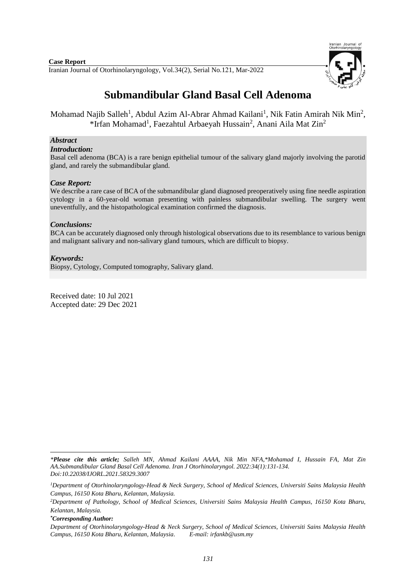#### Iranian Journal of Otorhinolaryngology, Vol.34(2), Serial No.121, Mar-2022 **Case Report**



# **Submandibular Gland Basal Cell Adenoma**

Mohamad Najib Salleh<sup>1</sup>, Abdul Azim Al-Abrar Ahmad Kailani<sup>1</sup>, Nik Fatin Amirah Nik Min<sup>2</sup>, \*Irfan Mohamad<sup>1</sup>, Faezahtul Arbaeyah Hussain<sup>2</sup>, Anani Aila Mat Zin<sup>2</sup>

### *Abstract*

#### *Introduction:*

Basal cell adenoma (BCA) is a rare benign epithelial tumour of the salivary gland majorly involving the parotid gland, and rarely the submandibular gland.

### *Case Report:*

We describe a rare case of BCA of the submandibular gland diagnosed preoperatively using fine needle aspiration cytology in a 60-year-old woman presenting with painless submandibular swelling. The surgery went uneventfully, and the histopathological examination confirmed the diagnosis.

### *Conclusions:*

BCA can be accurately diagnosed only through histological observations due to its resemblance to various benign and malignant salivary and non-salivary gland tumours, which are difficult to biopsy.

#### *Keywords:*

Biopsy, Cytology, Computed tomography, Salivary gland.

Received date: 10 Jul 2021 Accepted date: 29 Dec 2021

**.** 

*<sup>\*</sup>Please cite this article; Salleh MN, Ahmad Kailani AAAA, Nik Min NFA,\*Mohamad I, Hussain FA, Mat Zin AA.Submandibular Gland Basal Cell Adenoma. [Iran J Otorhinolaryngol.](https://www.ncbi.nlm.nih.gov/pubmed/?term=Tri-layer+Tympanoplasty+as+a+New+Technique+in+High-risk+Tympanic+Membrane+Perforations) 2022:34(1):131-134. Doi:10.22038/IJORL.2021.58329.3007*

*<sup>1</sup>Department of Otorhinolaryngology-Head & Neck Surgery, School of Medical Sciences, Universiti Sains Malaysia Health Campus, 16150 Kota Bharu, Kelantan, Malaysia.*

*<sup>2</sup>Department of Pathology, School of Medical Sciences, Universiti Sains Malaysia Health Campus, 16150 Kota Bharu, Kelantan, Malaysia.*

*<sup>\*</sup>Corresponding Author:*

*Department of Otorhinolaryngology-Head & Neck Surgery, School of Medical Sciences, Universiti Sains Malaysia Health Campus, 16150 Kota Bharu, Kelantan, Malaysia. E-mail[: irfankb@usm.my](mailto:irfankb@usm.my)*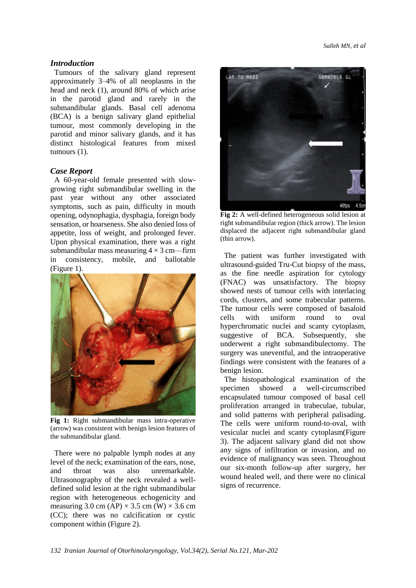## *Introduction*

Tumours of the salivary gland represent approximately 3–4% of all neoplasms in the head and neck (1), around 80% of which arise in the parotid gland and rarely in the submandibular glands. Basal cell adenoma (BCA) is a benign salivary gland epithelial tumour, most commonly developing in the parotid and minor salivary glands, and it has distinct histological features from mixed tumours (1).

### *Case Report*

A 60-year-old female presented with slowgrowing right submandibular swelling in the past year without any other associated symptoms, such as pain, difficulty in mouth opening, odynophagia, dysphagia, foreign body sensation, or hoarseness. She also denied loss of appetite, loss of weight, and prolonged fever. Upon physical examination, there was a right submandibular mass measuring  $4 \times 3$  cm—firm in consistency, mobile, and ballotable (Figure 1).



**Fig 1:** Right submandibular mass intra-operative (arrow) was consistent with benign lesion features of the submandibular gland.

There were no palpable lymph nodes at any level of the neck; examination of the ears, nose, and throat was also unremarkable. Ultrasonography of the neck revealed a welldefined solid lesion at the right submandibular region with heterogeneous echogenicity and measuring 3.0 cm (AP)  $\times$  3.5 cm (W)  $\times$  3.6 cm (CC); there was no calcification or cystic component within (Figure 2).



**Fig 2:** A well-defined heterogeneous solid lesion at right submandibular region (thick arrow). The lesion displaced the adjacent right submandibular gland (thin arrow).

 The patient was further investigated with ultrasound-guided Tru-Cut biopsy of the mass, as the fine needle aspiration for cytology (FNAC) was unsatisfactory. The biopsy showed nests of tumour cells with interlacing cords, clusters, and some trabecular patterns. The tumour cells were composed of basaloid cells with uniform round to oval hyperchromatic nuclei and scanty cytoplasm, suggestive of BCA. Subsequently, she underwent a right submandibulectomy. The surgery was uneventful, and the intraoperative findings were consistent with the features of a benign lesion.

The histopathological examination of the specimen showed a well-circumscribed encapsulated tumour composed of basal cell proliferation arranged in trabeculae, tubular, and solid patterns with peripheral palisading. The cells were uniform round-to-oval, with vesicular nuclei and scanty cytoplasm(Figure 3). The adjacent salivary gland did not show any signs of infiltration or invasion, and no evidence of malignancy was seen. Throughout our six-month follow-up after surgery, her wound healed well, and there were no clinical signs of recurrence.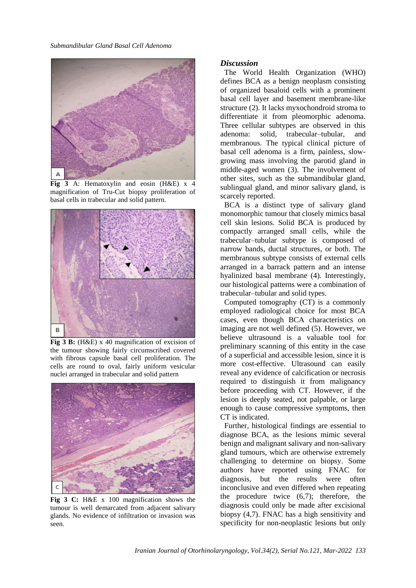

**Fig 3** A: Hematoxylin and eosin (H&E) x 4 magnification of Tru-Cut biopsy proliferation of basal cells in trabecular and solid pattern.



**Fig 3 B:** (H&E) x 40 magnification of excision of the tumour showing fairly circumscribed covered with fibrous capsule basal cell proliferation. The cells are round to oval, fairly uniform vesicular nuclei arranged in trabecular and solid pattern



**Fig 3 C:** H&E x 100 magnification shows the tumour is well demarcated from adjacent salivary glands. No evidence of infiltration or invasion was seen.

#### *Discussion*

The World Health Organization (WHO) defines BCA as a benign neoplasm consisting of organized basaloid cells with a prominent basal cell layer and basement membrane-like structure (2). It lacks myxochondroid stroma to differentiate it from pleomorphic adenoma. Three cellular subtypes are observed in this adenoma: solid, trabecular–tubular, and membranous. The typical clinical picture of basal cell adenoma is a firm, painless, slowgrowing mass involving the parotid gland in middle-aged women (3). The involvement of other sites, such as the submandibular gland, sublingual gland, and minor salivary gland, is scarcely reported.

BCA is a distinct type of salivary gland monomorphic tumour that closely mimics basal cell skin lesions. Solid BCA is produced by compactly arranged small cells, while the trabecular–tubular subtype is composed of narrow bands, ductal structures, or both. The membranous subtype consists of external cells arranged in a barrack pattern and an intense hyalinized basal membrane (4). Interestingly, our histological patterns were a combination of trabecular–tubular and solid types.

Computed tomography (CT) is a commonly employed radiological choice for most BCA cases, even though BCA characteristics on imaging are not well defined (5). However, we believe ultrasound is a valuable tool for preliminary scanning of this entity in the case of a superficial and accessible lesion, since it is more cost-effective. Ultrasound can easily reveal any evidence of calcification or necrosis required to distinguish it from malignancy before proceeding with CT. However, if the lesion is deeply seated, not palpable, or large enough to cause compressive symptoms, then CT is indicated.

Further, histological findings are essential to diagnose BCA, as the lesions mimic several benign and malignant salivary and non-salivary gland tumours, which are otherwise extremely challenging to determine on biopsy. Some authors have reported using FNAC for diagnosis, but the results were often inconclusive and even differed when repeating the procedure twice (6,7); therefore, the diagnosis could only be made after excisional biopsy (4,7). FNAC has a high sensitivity and specificity for non-neoplastic lesions but only